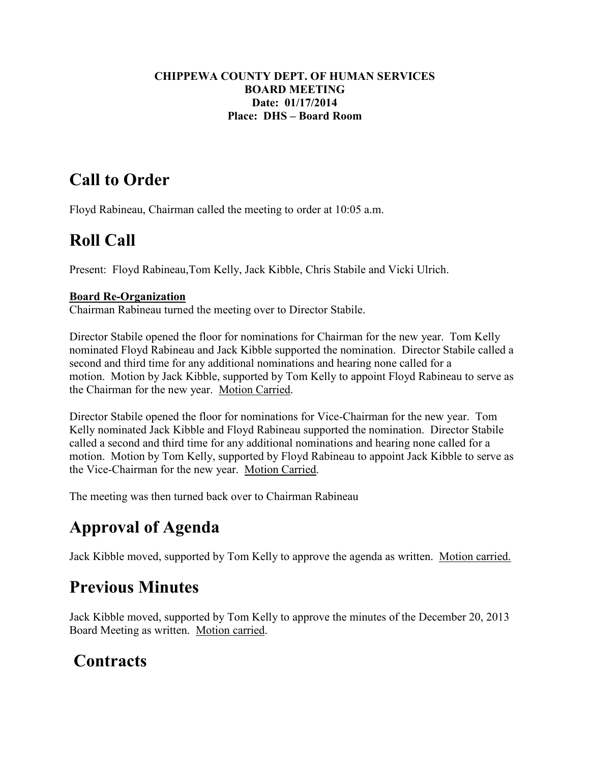#### **CHIPPEWA COUNTY DEPT. OF HUMAN SERVICES BOARD MEETING Date: 01/17/2014 Place: DHS – Board Room**

# **Call to Order**

Floyd Rabineau, Chairman called the meeting to order at 10:05 a.m.

# **Roll Call**

Present: Floyd Rabineau,Tom Kelly, Jack Kibble, Chris Stabile and Vicki Ulrich.

#### **Board Re-Organization**

Chairman Rabineau turned the meeting over to Director Stabile.

Director Stabile opened the floor for nominations for Chairman for the new year. Tom Kelly nominated Floyd Rabineau and Jack Kibble supported the nomination. Director Stabile called a second and third time for any additional nominations and hearing none called for a motion. Motion by Jack Kibble, supported by Tom Kelly to appoint Floyd Rabineau to serve as the Chairman for the new year. Motion Carried.

Director Stabile opened the floor for nominations for Vice-Chairman for the new year. Tom Kelly nominated Jack Kibble and Floyd Rabineau supported the nomination. Director Stabile called a second and third time for any additional nominations and hearing none called for a motion. Motion by Tom Kelly, supported by Floyd Rabineau to appoint Jack Kibble to serve as the Vice-Chairman for the new year. Motion Carried.

The meeting was then turned back over to Chairman Rabineau

# **Approval of Agenda**

Jack Kibble moved, supported by Tom Kelly to approve the agenda as written. Motion carried.

### **Previous Minutes**

Jack Kibble moved, supported by Tom Kelly to approve the minutes of the December 20, 2013 Board Meeting as written. Motion carried.

### **Contracts**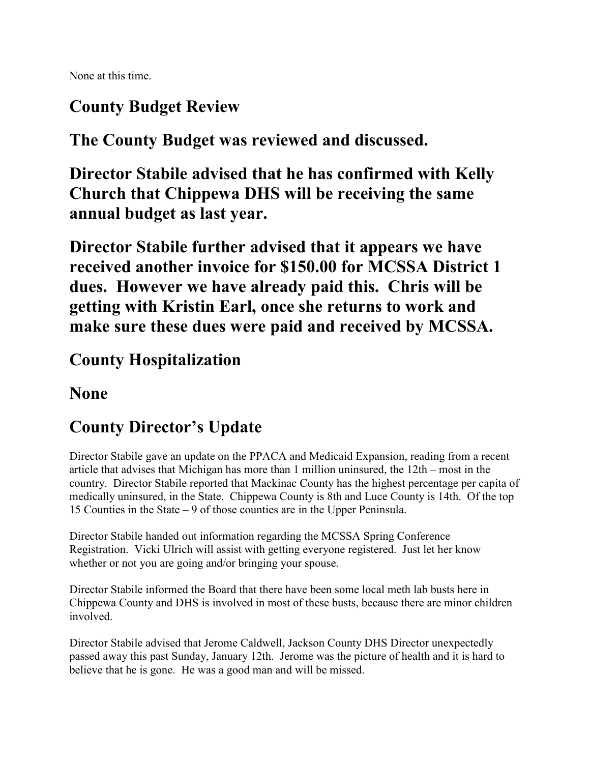None at this time.

# **County Budget Review**

**The County Budget was reviewed and discussed.** 

**Director Stabile advised that he has confirmed with Kelly Church that Chippewa DHS will be receiving the same annual budget as last year.** 

**Director Stabile further advised that it appears we have received another invoice for \$150.00 for MCSSA District 1 dues. However we have already paid this. Chris will be getting with Kristin Earl, once she returns to work and make sure these dues were paid and received by MCSSA.** 

#### **County Hospitalization**

#### **None**

# **County Director's Update**

Director Stabile gave an update on the PPACA and Medicaid Expansion, reading from a recent article that advises that Michigan has more than 1 million uninsured, the 12th – most in the country. Director Stabile reported that Mackinac County has the highest percentage per capita of medically uninsured, in the State. Chippewa County is 8th and Luce County is 14th. Of the top 15 Counties in the State – 9 of those counties are in the Upper Peninsula.

Director Stabile handed out information regarding the MCSSA Spring Conference Registration. Vicki Ulrich will assist with getting everyone registered. Just let her know whether or not you are going and/or bringing your spouse.

Director Stabile informed the Board that there have been some local meth lab busts here in Chippewa County and DHS is involved in most of these busts, because there are minor children involved.

Director Stabile advised that Jerome Caldwell, Jackson County DHS Director unexpectedly passed away this past Sunday, January 12th. Jerome was the picture of health and it is hard to believe that he is gone. He was a good man and will be missed.